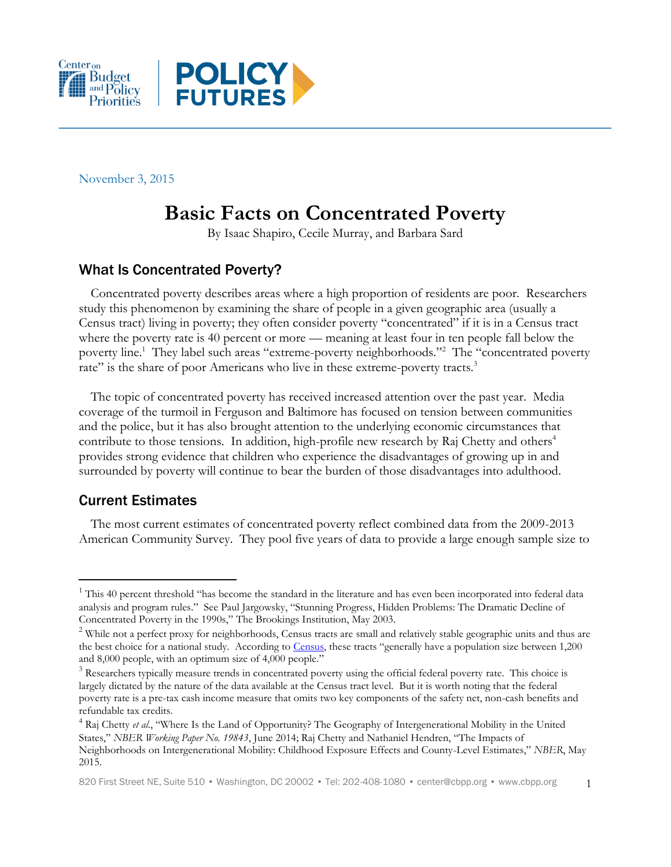



November 3, 2015

# **Basic Facts on Concentrated Poverty**

By Isaac Shapiro, Cecile Murray, and Barbara Sard

## What Is Concentrated Poverty?

Concentrated poverty describes areas where a high proportion of residents are poor. Researchers study this phenomenon by examining the share of people in a given geographic area (usually a Census tract) living in poverty; they often consider poverty "concentrated" if it is in a Census tract where the poverty rate is 40 percent or more — meaning at least four in ten people fall below the poverty line.<sup>1</sup> They label such areas "extreme-poverty neighborhoods."<sup>2</sup> The "concentrated poverty rate" is the share of poor Americans who live in these extreme-poverty tracts.<sup>3</sup>

The topic of concentrated poverty has received increased attention over the past year. Media coverage of the turmoil in Ferguson and Baltimore has focused on tension between communities and the police, but it has also brought attention to the underlying economic circumstances that contribute to those tensions. In addition, high-profile new research by Raj Chetty and others<sup>4</sup> provides strong evidence that children who experience the disadvantages of growing up in and surrounded by poverty will continue to bear the burden of those disadvantages into adulthood.

### Current Estimates

 $\overline{a}$ 

The most current estimates of concentrated poverty reflect combined data from the 2009-2013 American Community Survey. They pool five years of data to provide a large enough sample size to

 $1$  This 40 percent threshold "has become the standard in the literature and has even been incorporated into federal data analysis and program rules." See Paul Jargowsky, "Stunning Progress, Hidden Problems: The Dramatic Decline of Concentrated Poverty in the 1990s," The Brookings Institution, May 2003.

<sup>&</sup>lt;sup>2</sup> While not a perfect proxy for neighborhoods, Census tracts are small and relatively stable geographic units and thus are the best choice for a national study. According to [Census](https://www.census.gov/geo/reference/gtc/gtc_ct.html), these tracts "generally have a population size between 1,200 and 8,000 people, with an optimum size of 4,000 people."

<sup>&</sup>lt;sup>3</sup> Researchers typically measure trends in concentrated poverty using the official federal poverty rate. This choice is largely dictated by the nature of the data available at the Census tract level. But it is worth noting that the federal poverty rate is a pre-tax cash income measure that omits two key components of the safety net, non-cash benefits and refundable tax credits.

<sup>&</sup>lt;sup>4</sup> Raj Chetty et al., "Where Is the Land of Opportunity? The Geography of Intergenerational Mobility in the United States," *NBER Working Paper No. 19843*, June 2014; Raj Chetty and Nathaniel Hendren, "The Impacts of Neighborhoods on Intergenerational Mobility: Childhood Exposure Effects and County-Level Estimates," *NBER*, May 2015.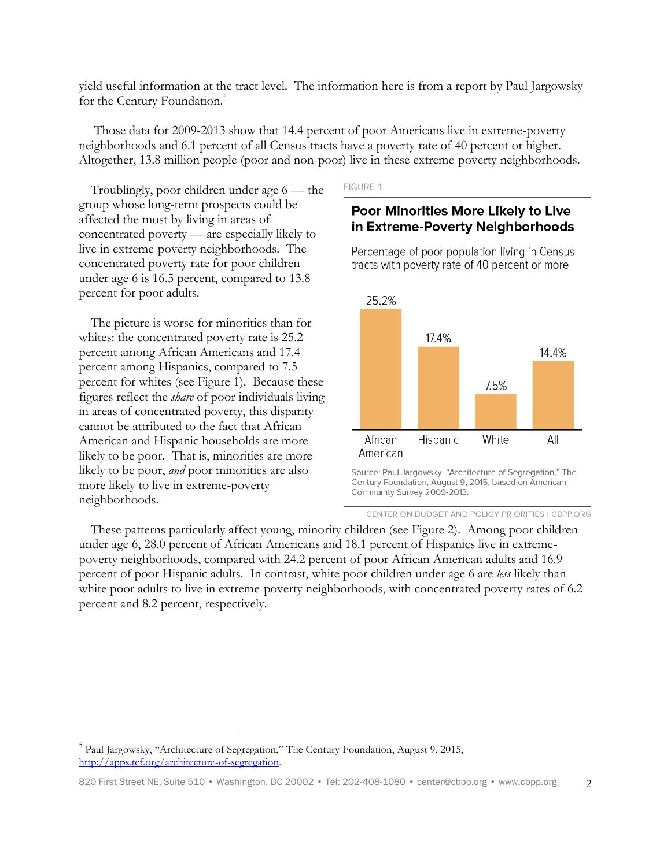yield useful information at the tract level. The information here is from a report by Paul Jargowsky for the Century Foundation.<sup>5</sup>

Those data for 2009-2013 show that 14.4 percent of poor Americans live in extreme-poverty neighborhoods and 6.1 percent of all Census tracts have a poverty rate of 40 percent or higher. Altogether, 13.8 million people (poor and non-poor) live in these extreme-poverty neighborhoods.

Troublingly, poor children under age 6 — the group whose long-term prospects could be affected the most by living in areas of concentrated poverty — are especially likely to live in extreme-poverty neighborhoods. The concentrated poverty rate for poor children under age 6 is 16.5 percent, compared to 13.8 percent for poor adults.

The picture is worse for minorities than for whites: the concentrated poverty rate is 25.2 percent among African Americans and 17.4 percent among Hispanics, compared to 7.5 percent for whites (see Figure 1). Because these figures reflect the *share* of poor individuals living in areas of concentrated poverty, this disparity cannot be attributed to the fact that African American and Hispanic households are more likely to be poor. That is, minorities are more likely to be poor, *and* poor minorities are also more likely to live in extreme-poverty neighborhoods.

 $\overline{a}$ 

#### **FIGURE 1**

### Poor Minorities More Likely to Live in Extreme-Poverty Neighborhoods

Percentage of poor population living in Census tracts with poverty rate of 40 percent or more



Source: Paul Jargowsky, "Architecture of Segregation," The Century Foundation, August 9, 2015, based on American Community Survey 2009-2013.

These patterns particularly affect young, minority children (see Figure 2). Among poor children under age 6, 28.0 percent of African Americans and 18.1 percent of Hispanics live in extremepoverty neighborhoods, compared with 24.2 percent of poor African American adults and 16.9 percent of poor Hispanic adults. In contrast, white poor children under age 6 are *less* likely than white poor adults to live in extreme-poverty neighborhoods, with concentrated poverty rates of 6.2 percent and 8.2 percent, respectively.

CENTER ON BUDGET AND POLICY PRIORITIES | CBPP.ORG

<sup>&</sup>lt;sup>5</sup> Paul Jargowsky, "Architecture of Segregation," The Century Foundation, August 9, 2015, [http://apps.tcf.org/architecture-of-segregation.](http://apps.tcf.org/architecture-of-segregation)